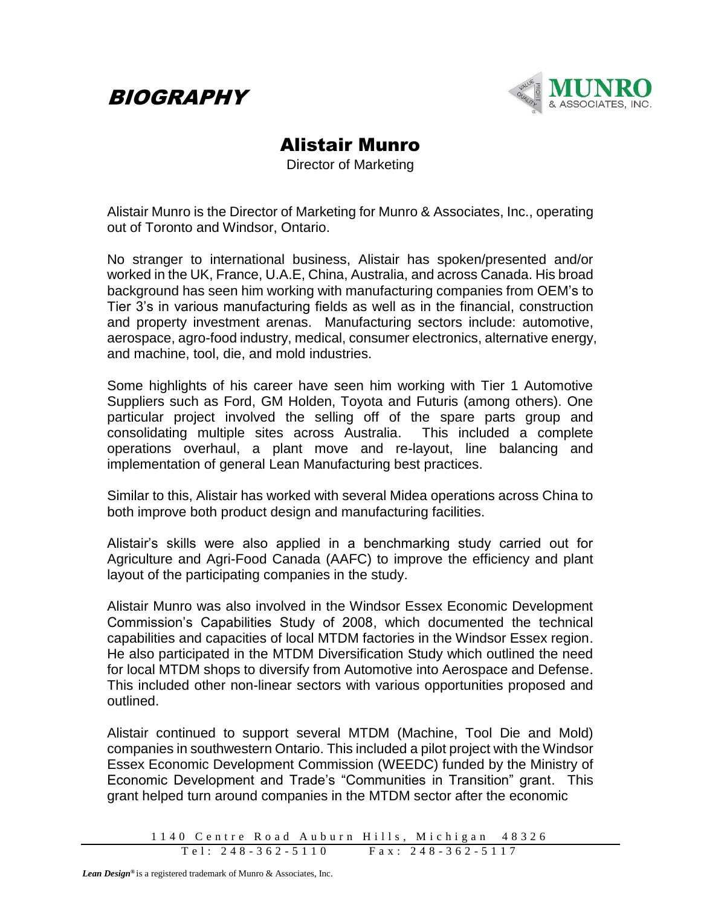



## Alistair Munro

Director of Marketing

Alistair Munro is the Director of Marketing for Munro & Associates, Inc., operating out of Toronto and Windsor, Ontario.

No stranger to international business, Alistair has spoken/presented and/or worked in the UK, France, U.A.E, China, Australia, and across Canada. His broad background has seen him working with manufacturing companies from OEM's to Tier 3's in various manufacturing fields as well as in the financial, construction and property investment arenas. Manufacturing sectors include: automotive, aerospace, agro-food industry, medical, consumer electronics, alternative energy, and machine, tool, die, and mold industries.

Some highlights of his career have seen him working with Tier 1 Automotive Suppliers such as Ford, GM Holden, Toyota and Futuris (among others). One particular project involved the selling off of the spare parts group and consolidating multiple sites across Australia. This included a complete operations overhaul, a plant move and re-layout, line balancing and implementation of general Lean Manufacturing best practices.

Similar to this, Alistair has worked with several Midea operations across China to both improve both product design and manufacturing facilities.

Alistair's skills were also applied in a benchmarking study carried out for Agriculture and Agri-Food Canada (AAFC) to improve the efficiency and plant layout of the participating companies in the study.

Alistair Munro was also involved in the Windsor Essex Economic Development Commission's Capabilities Study of 2008, which documented the technical capabilities and capacities of local MTDM factories in the Windsor Essex region. He also participated in the MTDM Diversification Study which outlined the need for local MTDM shops to diversify from Automotive into Aerospace and Defense. This included other non-linear sectors with various opportunities proposed and outlined.

Alistair continued to support several MTDM (Machine, Tool Die and Mold) companies in southwestern Ontario. This included a pilot project with the Windsor Essex Economic Development Commission (WEEDC) funded by the Ministry of Economic Development and Trade's "Communities in Transition" grant. This grant helped turn around companies in the MTDM sector after the economic